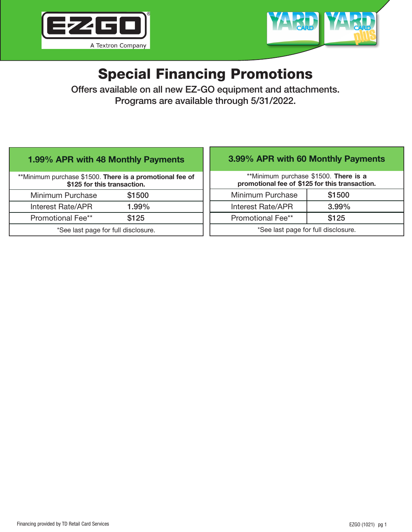



# Special Financing Promotions

Offers available on all new EZ-GO equipment and attachments. Programs are available through 5/31/2022.

## 1.99% APR with 48 Monthly Payments

\*\*Minimum purchase \$1500. There is a promotional fee of \$125 for this transaction. Minimum Purchase \$1500 Interest Rate/APR 1.99% Promotional Fee\*\* \$125

\*See last page for full disclosure.

# 3.99% APR with 60 Monthly Payments

\*\*Minimum purchase \$1500. There is a promotional fee of \$125 for this transaction.

| Minimum Purchase                    | \$1500   |
|-------------------------------------|----------|
| Interest Rate/APR                   | $3.99\%$ |
| <b>Promotional Fee**</b>            | \$125    |
| *See last page for full disclosure. |          |